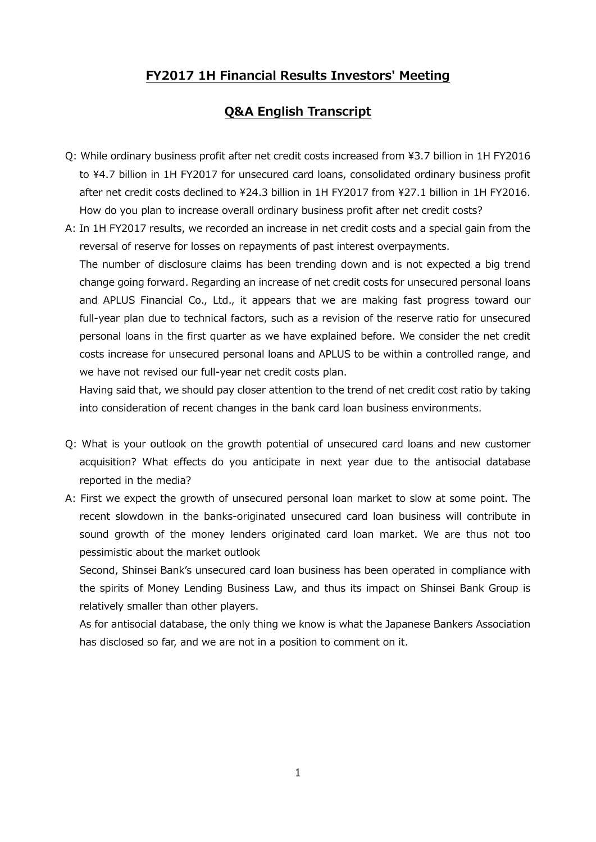## **FY2017 1H Financial Results Investors' Meeting**

## **Q&A English Transcript**

- Q: While ordinary business profit after net credit costs increased from ¥3.7 billion in 1H FY2016 to ¥4.7 billion in 1H FY2017 for unsecured card loans, consolidated ordinary business profit after net credit costs declined to ¥24.3 billion in 1H FY2017 from ¥27.1 billion in 1H FY2016. How do you plan to increase overall ordinary business profit after net credit costs?
- A: In 1H FY2017 results, we recorded an increase in net credit costs and a special gain from the reversal of reserve for losses on repayments of past interest overpayments.

The number of disclosure claims has been trending down and is not expected a big trend change going forward. Regarding an increase of net credit costs for unsecured personal loans and APLUS Financial Co., Ltd., it appears that we are making fast progress toward our full-year plan due to technical factors, such as a revision of the reserve ratio for unsecured personal loans in the first quarter as we have explained before. We consider the net credit costs increase for unsecured personal loans and APLUS to be within a controlled range, and we have not revised our full-year net credit costs plan.

Having said that, we should pay closer attention to the trend of net credit cost ratio by taking into consideration of recent changes in the bank card loan business environments.

- Q: What is your outlook on the growth potential of unsecured card loans and new customer acquisition? What effects do you anticipate in next year due to the antisocial database reported in the media?
- A: First we expect the growth of unsecured personal loan market to slow at some point. The recent slowdown in the banks-originated unsecured card loan business will contribute in sound growth of the money lenders originated card loan market. We are thus not too pessimistic about the market outlook

Second, Shinsei Bank's unsecured card loan business has been operated in compliance with the spirits of Money Lending Business Law, and thus its impact on Shinsei Bank Group is relatively smaller than other players.

As for antisocial database, the only thing we know is what the Japanese Bankers Association has disclosed so far, and we are not in a position to comment on it.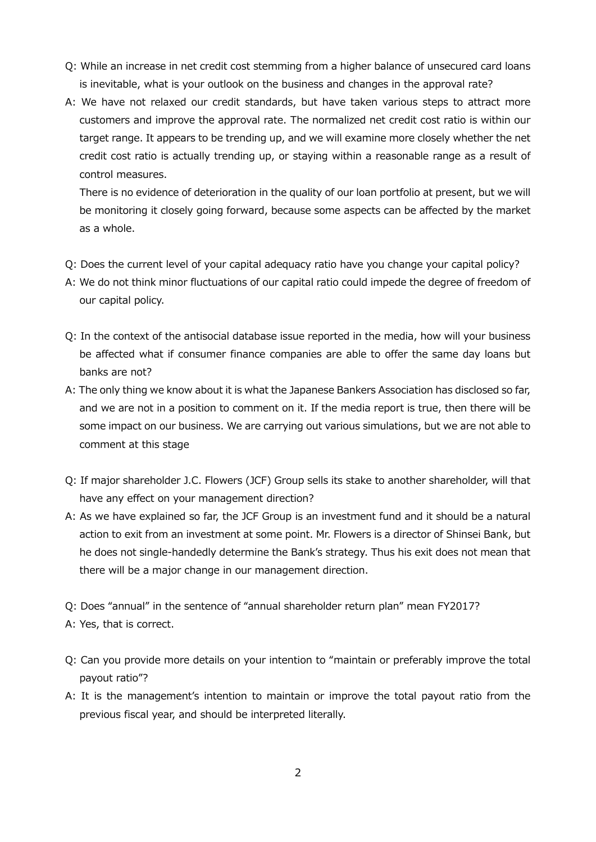- Q: While an increase in net credit cost stemming from a higher balance of unsecured card loans is inevitable, what is your outlook on the business and changes in the approval rate?
- A: We have not relaxed our credit standards, but have taken various steps to attract more customers and improve the approval rate. The normalized net credit cost ratio is within our target range. It appears to be trending up, and we will examine more closely whether the net credit cost ratio is actually trending up, or staying within a reasonable range as a result of control measures.

 There is no evidence of deterioration in the quality of our loan portfolio at present, but we will be monitoring it closely going forward, because some aspects can be affected by the market as a whole.

- Q: Does the current level of your capital adequacy ratio have you change your capital policy?
- A: We do not think minor fluctuations of our capital ratio could impede the degree of freedom of our capital policy.
- Q: In the context of the antisocial database issue reported in the media, how will your business be affected what if consumer finance companies are able to offer the same day loans but banks are not?
- A: The only thing we know about it is what the Japanese Bankers Association has disclosed so far, and we are not in a position to comment on it. If the media report is true, then there will be some impact on our business. We are carrying out various simulations, but we are not able to comment at this stage
- Q: If major shareholder J.C. Flowers (JCF) Group sells its stake to another shareholder, will that have any effect on your management direction?
- A: As we have explained so far, the JCF Group is an investment fund and it should be a natural action to exit from an investment at some point. Mr. Flowers is a director of Shinsei Bank, but he does not single-handedly determine the Bank's strategy. Thus his exit does not mean that there will be a major change in our management direction.
- Q: Does "annual" in the sentence of "annual shareholder return plan" mean FY2017?
- A: Yes, that is correct.
- Q: Can you provide more details on your intention to "maintain or preferably improve the total payout ratio"?
- A: It is the management's intention to maintain or improve the total payout ratio from the previous fiscal year, and should be interpreted literally.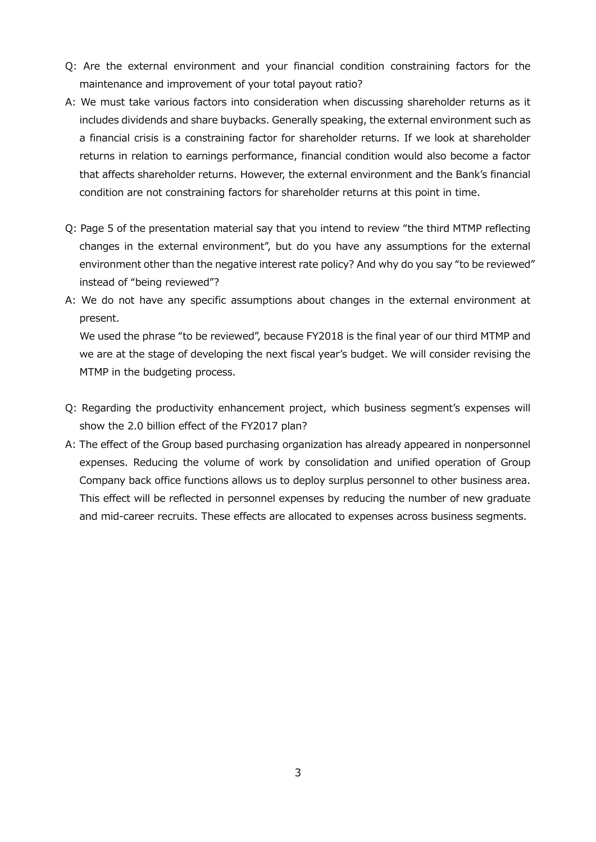- Q: Are the external environment and your financial condition constraining factors for the maintenance and improvement of your total payout ratio?
- A: We must take various factors into consideration when discussing shareholder returns as it includes dividends and share buybacks. Generally speaking, the external environment such as a financial crisis is a constraining factor for shareholder returns. If we look at shareholder returns in relation to earnings performance, financial condition would also become a factor that affects shareholder returns. However, the external environment and the Bank's financial condition are not constraining factors for shareholder returns at this point in time.
- Q: Page 5 of the presentation material say that you intend to review "the third MTMP reflecting changes in the external environment", but do you have any assumptions for the external environment other than the negative interest rate policy? And why do you say "to be reviewed" instead of "being reviewed"?
- A: We do not have any specific assumptions about changes in the external environment at present.

 We used the phrase "to be reviewed", because FY2018 is the final year of our third MTMP and we are at the stage of developing the next fiscal year's budget. We will consider revising the MTMP in the budgeting process.

- Q: Regarding the productivity enhancement project, which business segment's expenses will show the 2.0 billion effect of the FY2017 plan?
- A: The effect of the Group based purchasing organization has already appeared in nonpersonnel expenses. Reducing the volume of work by consolidation and unified operation of Group Company back office functions allows us to deploy surplus personnel to other business area. This effect will be reflected in personnel expenses by reducing the number of new graduate and mid-career recruits. These effects are allocated to expenses across business segments.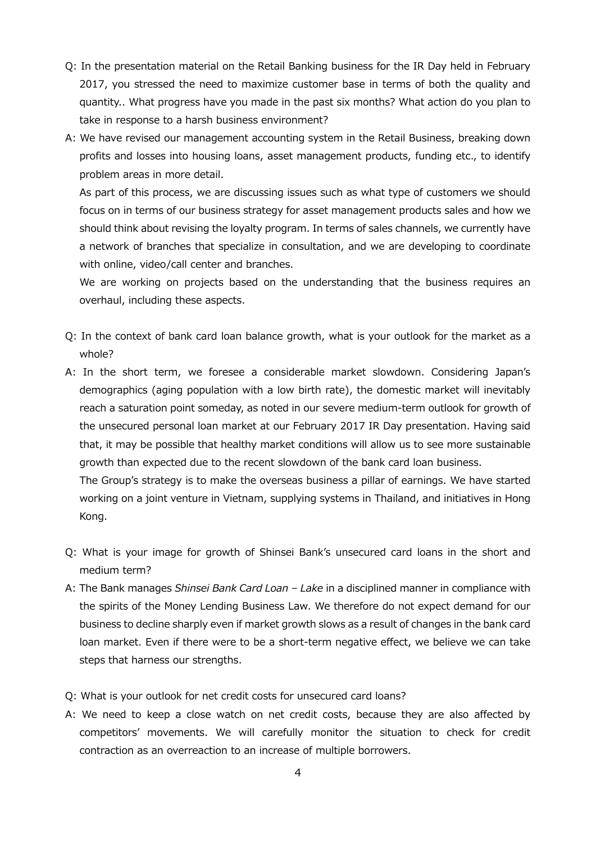- Q: In the presentation material on the Retail Banking business for the IR Day held in February 2017, you stressed the need to maximize customer base in terms of both the quality and quantity.. What progress have you made in the past six months? What action do you plan to take in response to a harsh business environment?
- A: We have revised our management accounting system in the Retail Business, breaking down profits and losses into housing loans, asset management products, funding etc., to identify problem areas in more detail.

 As part of this process, we are discussing issues such as what type of customers we should focus on in terms of our business strategy for asset management products sales and how we should think about revising the loyalty program. In terms of sales channels, we currently have a network of branches that specialize in consultation, and we are developing to coordinate with online, video/call center and branches.

 We are working on projects based on the understanding that the business requires an overhaul, including these aspects.

- Q: In the context of bank card loan balance growth, what is your outlook for the market as a whole?
- A: In the short term, we foresee a considerable market slowdown. Considering Japan's demographics (aging population with a low birth rate), the domestic market will inevitably reach a saturation point someday, as noted in our severe medium-term outlook for growth of the unsecured personal loan market at our February 2017 IR Day presentation. Having said that, it may be possible that healthy market conditions will allow us to see more sustainable growth than expected due to the recent slowdown of the bank card loan business. The Group's strategy is to make the overseas business a pillar of earnings. We have started

working on a joint venture in Vietnam, supplying systems in Thailand, and initiatives in Hong Kong.

- Q: What is your image for growth of Shinsei Bank's unsecured card loans in the short and medium term?
- A: The Bank manages *Shinsei Bank Card Loan Lake* in a disciplined manner in compliance with the spirits of the Money Lending Business Law. We therefore do not expect demand for our business to decline sharply even if market growth slows as a result of changes in the bank card loan market. Even if there were to be a short-term negative effect, we believe we can take steps that harness our strengths.
- Q: What is your outlook for net credit costs for unsecured card loans?
- A: We need to keep a close watch on net credit costs, because they are also affected by competitors' movements. We will carefully monitor the situation to check for credit contraction as an overreaction to an increase of multiple borrowers.